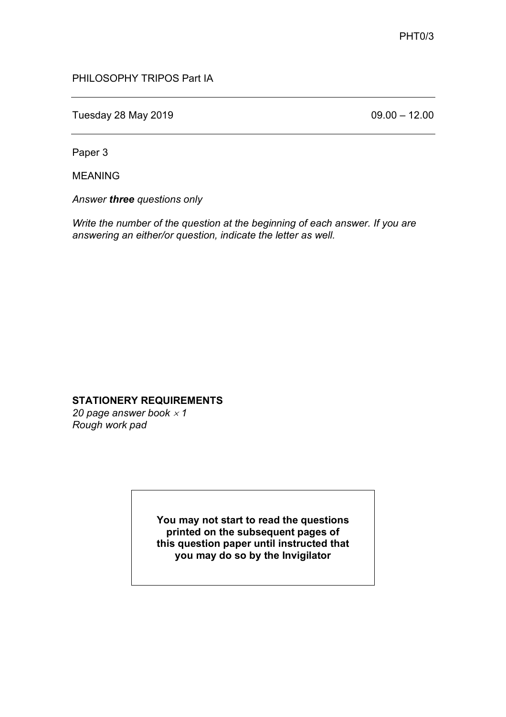## PHILOSOPHY TRIPOS Part IA

Tuesday 28 May 2019 **12.00** CH<sub>0</sub> 69.00 – 12.00

Paper 3

MEANING

*Answer three questions only*

*Write the number of the question at the beginning of each answer. If you are answering an either/or question, indicate the letter as well.*

## **STATIONERY REQUIREMENTS**

20 page answer book  $\times$  1 *Rough work pad*

> **You may not start to read the questions printed on the subsequent pages of this question paper until instructed that you may do so by the Invigilator**